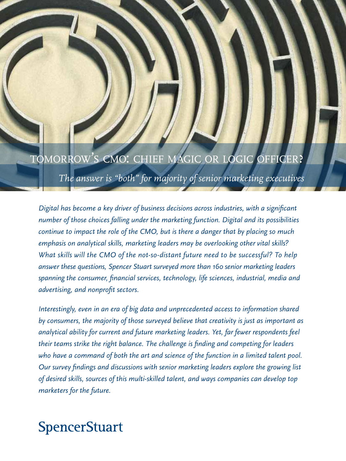## TOMORROW'S CMO: CHIEF MAGIC OR LOGIC OFFICER?

*The answer is "both" for majority of senior marketing executives*

*Digital has become a key driver of business decisions across industries, with a significant number of those choices falling under the marketing function. Digital and its possibilities continue to impact the role of the CMO, but is there a danger that by placing so much emphasis on analytical skills, marketing leaders may be overlooking other vital skills? What skills will the CMO of the not-so-distant future need to be successful? To help answer these questions, Spencer Stuart surveyed more than 160 senior marketing leaders spanning the consumer, financial services, technology, life sciences, industrial, media and advertising, and nonprofit sectors.* 

*Interestingly, even in an era of big data and unprecedented access to information shared by consumers, the majority of those surveyed believe that creativity is just as important as analytical ability for current and future marketing leaders. Yet, far fewer respondents feel their teams strike the right balance. The challenge is finding and competing for leaders who have a command of both the art and science of the function in a limited talent pool. Our survey findings and discussions with senior marketing leaders explore the growing list of desired skills, sources of this multi-skilled talent, and ways companies can develop top marketers for the future.* 

# **SpencerStuart**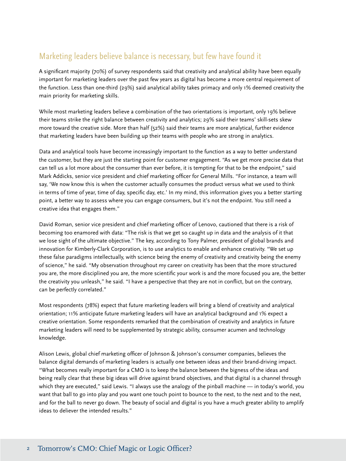### Marketing leaders believe balance is necessary, but few have found it

A significant majority (70%) of survey respondents said that creativity and analytical ability have been equally important for marketing leaders over the past few years as digital has become a more central requirement of the function. Less than one-third (29%) said analytical ability takes primacy and only 1% deemed creativity the main priority for marketing skills.

While most marketing leaders believe a combination of the two orientations is important, only 19% believe their teams strike the right balance between creativity and analytics; 29% said their teams' skill-sets skew more toward the creative side. More than half (52%) said their teams are more analytical, further evidence that marketing leaders have been building up their teams with people who are strong in analytics.

Data and analytical tools have become increasingly important to the function as a way to better understand the customer, but they are just the starting point for customer engagement. "As we get more precise data that can tell us a lot more about the consumer than ever before, it is tempting for that to be the endpoint," said Mark Addicks, senior vice president and chief marketing officer for General Mills. "For instance, a team will say, 'We now know this is when the customer actually consumes the product versus what we used to think in terms of time of year, time of day, specific day, etc.' In my mind, this information gives you a better starting point, a better way to assess where you can engage consumers, but it's not the endpoint. You still need a creative idea that engages them."

David Roman, senior vice president and chief marketing officer of Lenovo, cautioned that there is a risk of becoming too enamored with data: "The risk is that we get so caught up in data and the analysis of it that we lose sight of the ultimate objective." The key, according to Tony Palmer, president of global brands and innovation for Kimberly-Clark Corporation, is to use analytics to enable and enhance creativity. "We set up these false paradigms intellectually, with science being the enemy of creativity and creativity being the enemy of science," he said. "My observation throughout my career on creativity has been that the more structured you are, the more disciplined you are, the more scientific your work is and the more focused you are, the better the creativity you unleash," he said. "I have a perspective that they are not in conflict, but on the contrary, can be perfectly correlated."

Most respondents (78%) expect that future marketing leaders will bring a blend of creativity and analytical orientation; 11% anticipate future marketing leaders will have an analytical background and 1% expect a creative orientation. Some respondents remarked that the combination of creativity and analytics in future marketing leaders will need to be supplemented by strategic ability, consumer acumen and technology knowledge.

Alison Lewis, global chief marketing officer of Johnson & Johnson's consumer companies, believes the balance digital demands of marketing leaders is actually one between ideas and their brand-driving impact. "What becomes really important for a CMO is to keep the balance between the bigness of the ideas and being really clear that these big ideas will drive against brand objectives, and that digital is a channel through which they are executed," said Lewis. "I always use the analogy of the pinball machine — in today's world, you want that ball to go into play and you want one touch point to bounce to the next, to the next and to the next, and for the ball to never go down. The beauty of social and digital is you have a much greater ability to amplify ideas to deliever the intended results."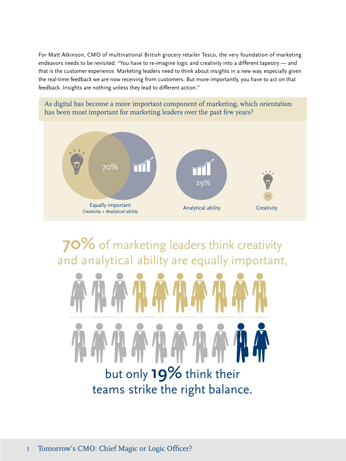For Matt Atkinson, CMO of multinational British grocery retailer Tesco, the very foundation of marketing endeavors needs to be revisited. "You have to re-imagine logic and creativity into a different tapestry — and that is the customer experience. Marketing leaders need to think about insights in a new way, especially given the real-time feedback we are now receiving from customers. But more importantly, you have to act on that feedback. Insights are nothing unless they lead to different action."

As digital has become a more important component of marketing, which orientation has been most important for marketing leaders over the past few years?



**70%** of marketing leaders think creativity and analytical ability are equally important,



teams strike the right balance.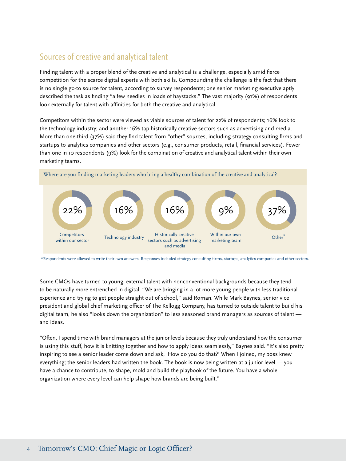### Sources of creative and analytical talent

Finding talent with a proper blend of the creative and analytical is a challenge, especially amid fierce competition for the scarce digital experts with both skills. Compounding the challenge is the fact that there is no single go-to source for talent, according to survey respondents; one senior marketing executive aptly described the task as finding "a few needles in loads of haystacks." The vast majority (91%) of respondents look externally for talent with affinities for both the creative and analytical.

Competitors within the sector were viewed as viable sources of talent for 22% of respondents; 16% look to the technology industry; and another 16% tap historically creative sectors such as advertising and media. More than one-third (37%) said they find talent from "other" sources, including strategy consulting firms and startups to analytics companies and other sectors (e.g., consumer products, retail, financial services). Fewer than one in 10 respondents (9%) look for the combination of creative and analytical talent within their own marketing teams.



\*Respondents were allowed to write their own answers. Responses included strategy consulting firms, startups, analytics companies and other sectors.

Some CMOs have turned to young, external talent with nonconventional backgrounds because they tend to be naturally more entrenched in digital. "We are bringing in a lot more young people with less traditional experience and trying to get people straight out of school," said Roman. While Mark Baynes, senior vice president and global chief marketing officer of The Kellogg Company, has turned to outside talent to build his digital team, he also "looks down the organization" to less seasoned brand managers as sources of talent and ideas.

"Often, I spend time with brand managers at the junior levels because they truly understand how the consumer is using this stuff, how it is knitting together and how to apply ideas seamlessly," Baynes said. "It's also pretty inspiring to see a senior leader come down and ask, 'How do you do that?' When I joined, my boss knew everything; the senior leaders had written the book. The book is now being written at a junior level — you have a chance to contribute, to shape, mold and build the playbook of the future. You have a whole organization where every level can help shape how brands are being built."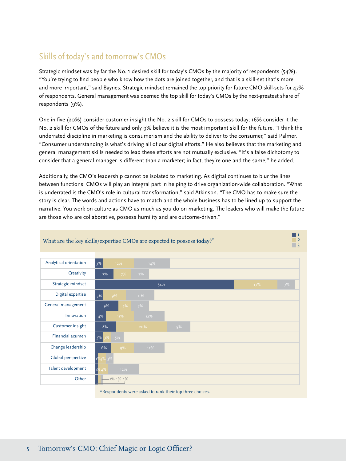### Skills of today's and tomorrow's CMOs

Strategic mindset was by far the No. 1 desired skill for today's CMOs by the majority of respondents (54%). "You're trying to find people who know how the dots are joined together, and that is a skill-set that's more and more important," said Baynes. Strategic mindset remained the top priority for future CMO skill-sets for 47% of respondents. General management was deemed the top skill for today's CMOs by the next-greatest share of respondents (9%).

One in five (20%) consider customer insight the No. 2 skill for CMOs to possess today; 16% consider it the No. 2 skill for CMOs of the future and only 9% believe it is the most important skill for the future. "I think the underrated discipline in marketing is consumerism and the ability to deliver to the consumer," said Palmer. "Consumer understanding is what's driving all of our digital efforts." He also believes that the marketing and general management skills needed to lead these efforts are not mutually exclusive. "It's a false dichotomy to consider that a general manager is different than a marketer; in fact, they're one and the same," he added.

Additionally, the CMO's leadership cannot be isolated to marketing. As digital continues to blur the lines between functions, CMOs will play an integral part in helping to drive organization-wide collaboration. "What is underrated is the CMO's role in cultural transformation," said Atkinson. "The CMO has to make sure the story is clear. The words and actions have to match and the whole business has to be lined up to support the narrative. You work on culture as CMO as much as you do on marketing. The leaders who will make the future are those who are collaborative, possess humility and are outcome-driven."

> 1 2



#### What are the key skills/expertise CMOs are expected to possess **today**?\*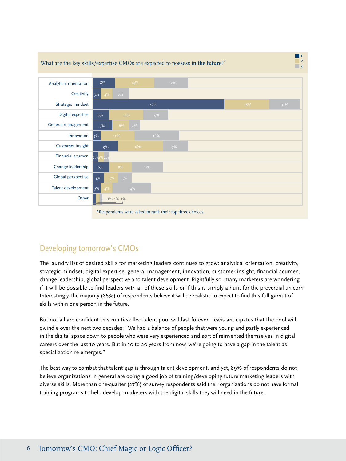

# Developing tomorrow's CMOs

The laundry list of desired skills for marketing leaders continues to grow: analytical orientation, creativity, strategic mindset, digital expertise, general management, innovation, customer insight, financial acumen, change leadership, global perspective and talent development. Rightfully so, many marketers are wondering if it will be possible to find leaders with all of these skills or if this is simply a hunt for the proverbial unicorn. Interestingly, the majority (86%) of respondents believe it will be realistic to expect to find this full gamut of skills within one person in the future.

But not all are confident this multi-skilled talent pool will last forever. Lewis anticipates that the pool will dwindle over the next two decades: "We had a balance of people that were young and partly experienced in the digital space down to people who were very experienced and sort of reinvented themselves in digital careers over the last 10 years. But in 10 to 20 years from now, we're going to have a gap in the talent as specialization re-emerges."

The best way to combat that talent gap is through talent development, and yet, 89% of respondents do not believe organizations in general are doing a good job of training/developing future marketing leaders with diverse skills. More than one-quarter (27%) of survey respondents said their organizations do not have formal training programs to help develop marketers with the digital skills they will need in the future.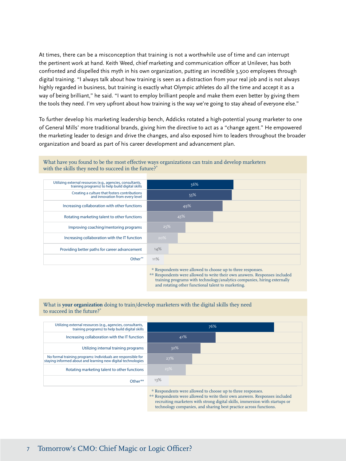At times, there can be a misconception that training is not a worthwhile use of time and can interrupt the pertinent work at hand. Keith Weed, chief marketing and communication officer at Unilever, has both confronted and dispelled this myth in his own organization, putting an incredible 3,500 employees through digital training. "I always talk about how training is seen as a distraction from your real job and is not always highly regarded in business, but training is exactly what Olympic athletes do all the time and accept it as a way of being brilliant," he said. "I want to employ brilliant people and make them even better by giving them the tools they need. I'm very upfront about how training is the way we're going to stay ahead of everyone else."

To further develop his marketing leadership bench, Addicks rotated a high-potential young marketer to one of General Mills' more traditional brands, giving him the directive to act as a "change agent." He empowered the marketing leader to design and drive the changes, and also exposed him to leaders throughout the broader organization and board as part of his career development and advancement plan.

What have you found to be the most effective ways organizations can train and develop marketers with the skills they need to succeed in the future.<sup>\*</sup>



\*\* Respondents were allowed to write their own answers. Responses included training programs with technology/analytics companies, hiring externally and rotating other functional talent to marketing.

#### What is **your organization** doing to train/develop marketers with the digital skills they need to succeed in the future?\*

| Utilizing external resources (e.g., agencies, consultants,<br>training programs) to help build digital skills                | 76% |                                                                                                                                                                                                                                                                                                                                                                                                                                                              |  |  |
|------------------------------------------------------------------------------------------------------------------------------|-----|--------------------------------------------------------------------------------------------------------------------------------------------------------------------------------------------------------------------------------------------------------------------------------------------------------------------------------------------------------------------------------------------------------------------------------------------------------------|--|--|
| Increasing collaboration with the IT function                                                                                | 41% |                                                                                                                                                                                                                                                                                                                                                                                                                                                              |  |  |
| Utilizing internal training programs                                                                                         |     | 32%                                                                                                                                                                                                                                                                                                                                                                                                                                                          |  |  |
| No formal training programs: Individuals are responsible for<br>staying informed about and learning new digital technologies |     | 27%                                                                                                                                                                                                                                                                                                                                                                                                                                                          |  |  |
| Rotating marketing talent to other functions                                                                                 | 23% |                                                                                                                                                                                                                                                                                                                                                                                                                                                              |  |  |
| Other**                                                                                                                      | 13% |                                                                                                                                                                                                                                                                                                                                                                                                                                                              |  |  |
|                                                                                                                              |     | $\mathbf{A} \cdot \mathbf{S} = \mathbf{A} \cdot \mathbf{A} + \mathbf{A} \cdot \mathbf{A} + \mathbf{A} \cdot \mathbf{A} + \mathbf{A} \cdot \mathbf{A} + \mathbf{A} \cdot \mathbf{A} + \mathbf{A} \cdot \mathbf{A} + \mathbf{A} \cdot \mathbf{A} + \mathbf{A} \cdot \mathbf{A} + \mathbf{A} \cdot \mathbf{A} + \mathbf{A} \cdot \mathbf{A} + \mathbf{A} \cdot \mathbf{A} + \mathbf{A} \cdot \mathbf{A} + \mathbf{A} \cdot \mathbf{A} + \mathbf{A} \cdot \math$ |  |  |

Respondents were allowed to choose up to three responses.

\*\* Respondents were allowed to write their own answers. Responses included recruiting marketers with strong digital skills, immersion with startups or technology companies, and sharing best practice across functions.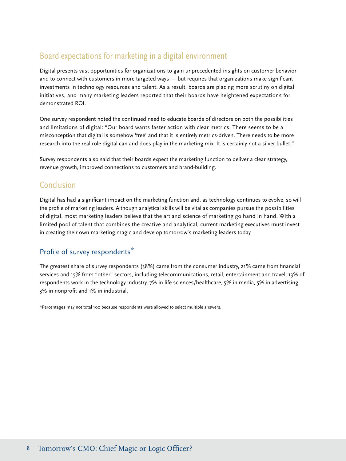### Board expectations for marketing in a digital environment

Digital presents vast opportunities for organizations to gain unprecedented insights on customer behavior and to connect with customers in more targeted ways — but requires that organizations make significant investments in technology resources and talent. As a result, boards are placing more scrutiny on digital initiatives, and many marketing leaders reported that their boards have heightened expectations for demonstrated ROI.

One survey respondent noted the continued need to educate boards of directors on both the possibilities and limitations of digital: "Our board wants faster action with clear metrics. There seems to be a misconception that digital is somehow 'free' and that it is entirely metrics-driven. There needs to be more research into the real role digital can and does play in the marketing mix. It is certainly not a silver bullet."

Survey respondents also said that their boards expect the marketing function to deliver a clear strategy, revenue growth, improved connections to customers and brand-building.

#### Conclusion

Digital has had a significant impact on the marketing function and, as technology continues to evolve, so will the profile of marketing leaders. Although analytical skills will be vital as companies pursue the possibilities of digital, most marketing leaders believe that the art and science of marketing go hand in hand. With a limited pool of talent that combines the creative and analytical, current marketing executives must invest in creating their own marketing magic and develop tomorrow's marketing leaders today.

#### Profile of survey respondents\*

The greatest share of survey respondents (38%) came from the consumer industry, 21% came from financial services and 15% from "other" sectors, including telecommunications, retail, entertainment and travel; 13% of respondents work in the technology industry, 7% in life sciences/healthcare, 5% in media, 5% in advertising, 3% in nonprofit and 1% in industrial.

\*Percentages may not total 100 because respondents were allowed to select multiple answers.